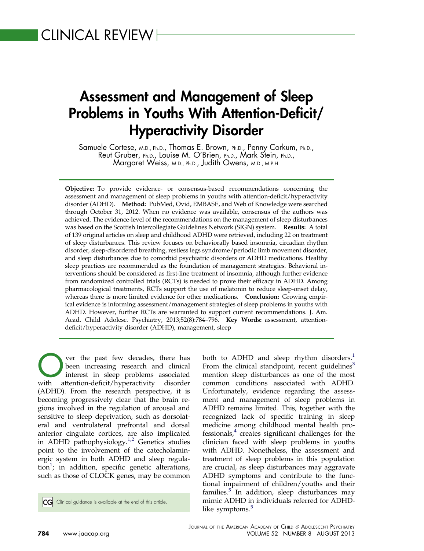# Assessment and Management of Sleep Problems in Youths With Attention-Deficit/ Hyperactivity Disorder

Samuele Cortese, M.D., Ph.D., Thomas E. Brown, Ph.D., Penny Corkum, Ph.D.,<br>Reut Gruber, Ph.D., Louise M. O'Brien, Ph.D., Mark Stein, Ph.D.,<br>Margaret Weiss, M.D., Ph.D., Judith Owens, M.D., M.P.H.

Objective: To provide evidence- or consensus-based recommendations concerning the assessment and management of sleep problems in youths with attention-deficit/hyperactivity disorder (ADHD). Method: PubMed, Ovid, EMBASE, and Web of Knowledge were searched through October 31, 2012. When no evidence was available, consensus of the authors was achieved. The evidence-level of the recommendations on the management of sleep disturbances was based on the Scottish Intercollegiate Guidelines Network (SIGN) system. Results: A total of 139 original articles on sleep and childhood ADHD were retrieved, including 22 on treatment of sleep disturbances. This review focuses on behaviorally based insomnia, circadian rhythm disorder, sleep-disordered breathing, restless legs syndrome/periodic limb movement disorder, and sleep disturbances due to comorbid psychiatric disorders or ADHD medications. Healthy sleep practices are recommended as the foundation of management strategies. Behavioral interventions should be considered as first-line treatment of insomnia, although further evidence from randomized controlled trials (RCTs) is needed to prove their efficacy in ADHD. Among pharmacological treatments, RCTs support the use of melatonin to reduce sleep-onset delay, whereas there is more limited evidence for other medications. **Conclusion:** Growing empirical evidence is informing assessment/management strategies of sleep problems in youths with ADHD. However, further RCTs are warranted to support current recommendations. J. Am. Acad. Child Adolesc. Psychiatry, 2013;52(8):784–796. Key Words: assessment, attentiondeficit/hyperactivity disorder (ADHD), management, sleep

**Over the past few decades, there has**<br>been increasing research and clinical<br>interest in sleep problems associated<br>with attention-deficit/hyperactivity disorder been increasing research and clinical with attention-deficit/hyperactivity disorder (ADHD). From the research perspective, it is becoming progressively clear that the brain regions involved in the regulation of arousal and sensitive to sleep deprivation, such as dorsolateral and ventrolateral prefrontal and dorsal anterior cingulate cortices, are also implicated in ADHD pathophysiology.<sup>[1,2](#page-11-0)</sup> Genetics studies point to the involvement of the catecholaminergic system in both ADHD and sleep regula-tion<sup>[1](#page-11-0)</sup>; in addition, specific genetic alterations, such as those of CLOCK genes, may be common

CG Clinical guidance is available at the end of this article.

both to ADHD and sleep rhythm disorders.<sup>[1](#page-11-0)</sup> From the clinical standpoint, recent guidelines<sup>[3](#page-11-0)</sup> mention sleep disturbances as one of the most common conditions associated with ADHD. Unfortunately, evidence regarding the assessment and management of sleep problems in ADHD remains limited. This, together with the recognized lack of specific training in sleep medicine among childhood mental health pro $f$ essionals, $4$  creates significant challenges for the clinician faced with sleep problems in youths with ADHD. Nonetheless, the assessment and treatment of sleep problems in this population are crucial, as sleep disturbances may aggravate ADHD symptoms and contribute to the functional impairment of children/youths and their families. $5$  In addition, sleep disturbances may mimic ADHD in individuals referred for ADHD-like symptoms.<sup>[5](#page-11-0)</sup>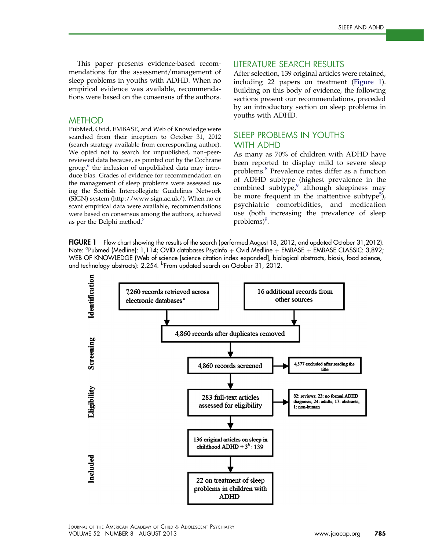This paper presents evidence-based recommendations for the assessment/management of sleep problems in youths with ADHD. When no empirical evidence was available, recommendations were based on the consensus of the authors.

# **METHOD**

PubMed, Ovid, EMBASE, and Web of Knowledge were searched from their inception to October 31, 2012 (search strategy available from corresponding author). We opted not to search for unpublished, non–peerreviewed data because, as pointed out by the Cochrane group, $6$  the inclusion of unpublished data may introduce bias. Grades of evidence for recommendation on the management of sleep problems were assessed using the Scottish Intercollegiate Guidelines Network (SIGN) system [\(http://www.sign.ac.uk/\)](http://www.sign.ac.uk/). When no or scant empirical data were available, recommendations were based on consensus among the authors, achieved as per the Delphi method.<sup>7</sup>

# LITERATURE SEARCH RESULTS

After selection, 139 original articles were retained, including 22 papers on treatment (Figure 1). Building on this body of evidence, the following sections present our recommendations, preceded by an introductory section on sleep problems in youths with ADHD.

# SLEEP PROBLEMS IN YOUTHS WITH ADHD

As many as 70% of children with ADHD have been reported to display mild to severe sleep problems.[8](#page-11-0) Prevalence rates differ as a function of ADHD subtype (highest prevalence in the combined subtype, $9$  although sleepiness may be more frequent in the inattentive subtype<sup>[5](#page-11-0)</sup>), psychiatric comorbidities, and medication use (both increasing the prevalence of sleep problems)<sup>[9](#page-11-0)</sup>.

FIGURE 1 Flow chart showing the results of the search (performed August 18, 2012, and updated October 31,2012). Note: <sup>a</sup> Pubmed (Medline): 1,114; OVID databases PsycInfo þ Ovid Medline þ EMBASE þ EMBASE CLASSIC: 3,892; WEB OF KNOWLEDGE (Web of science [science citation index expanded], biological abstracts, biosis, food science, and technology abstracts): 2,254. <sup>b</sup>From updated search on October 31, 2012.

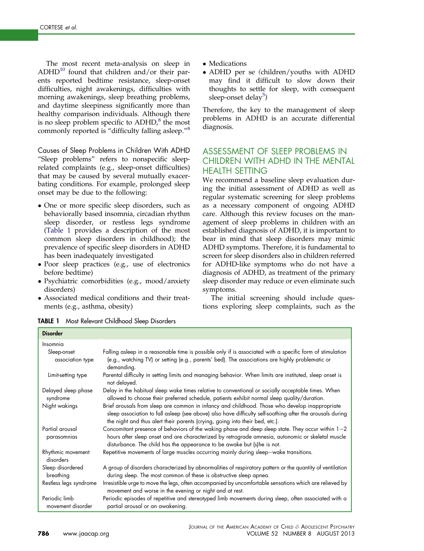<span id="page-2-0"></span>The most recent meta-analysis on sleep in  $ADHD<sup>10</sup>$  $ADHD<sup>10</sup>$  $ADHD<sup>10</sup>$  found that children and/or their parents reported bedtime resistance, sleep-onset difficulties, night awakenings, difficulties with morning awakenings, sleep breathing problems, and daytime sleepiness significantly more than healthy comparison individuals. Although there is no sleep problem specific to  $ADHD<sub>i</sub><sup>8</sup>$  $ADHD<sub>i</sub><sup>8</sup>$  $ADHD<sub>i</sub><sup>8</sup>$  the most commonly reported is "difficulty falling asleep."<sup>[8](#page-11-0)</sup>

Causes of Sleep Problems in Children With ADHD "Sleep problems" refers to nonspecific sleeprelated complaints (e.g., sleep-onset difficulties) that may be caused by several mutually exacerbating conditions. For example, prolonged sleep onset may be due to the following:

- One or more specific sleep disorders, such as behaviorally based insomnia, circadian rhythm sleep disorder, or restless legs syndrome (Table 1 provides a description of the most common sleep disorders in childhood); the prevalence of specific sleep disorders in ADHD has been inadequately investigated
- Poor sleep practices (e.g., use of electronics before bedtime)
- Psychiatric comorbidities (e.g., mood/anxiety disorders)
- Associated medical conditions and their treatments (e.g., asthma, obesity)
- Medications
- ADHD per se (children/youths with ADHD may find it difficult to slow down their thoughts to settle for sleep, with consequent sleep-onset delay<sup>[5](#page-11-0)</sup>)

Therefore, the key to the management of sleep problems in ADHD is an accurate differential diagnosis.

# ASSESSMENT OF SLEEP PROBLEMS IN CHILDREN WITH ADHD IN THE MENTAL HEALTH SETTING

We recommend a baseline sleep evaluation during the initial assessment of ADHD as well as regular systematic screening for sleep problems as a necessary component of ongoing ADHD care. Although this review focuses on the management of sleep problems in children with an established diagnosis of ADHD, it is important to bear in mind that sleep disorders may mimic ADHD symptoms. Therefore, it is fundamental to screen for sleep disorders also in children referred for ADHD-like symptoms who do not have a diagnosis of ADHD, as treatment of the primary sleep disorder may reduce or even eliminate such symptoms.

The initial screening should include questions exploring sleep complaints, such as the

|  | <b>TABLE 1</b> Most Relevant Childhood Sleep Disorders |  |  |  |  |
|--|--------------------------------------------------------|--|--|--|--|
|--|--------------------------------------------------------|--|--|--|--|

| <b>Disorder</b>                    |                                                                                                                                                                                                                                                                                             |
|------------------------------------|---------------------------------------------------------------------------------------------------------------------------------------------------------------------------------------------------------------------------------------------------------------------------------------------|
| Insomnia                           |                                                                                                                                                                                                                                                                                             |
| Sleep-onset<br>association type    | Falling asleep in a reasonable time is possible only if is associated with a specific form of stimulation<br>(e.g., watching TV) or setting (e.g., parents' bed). The associations are highly problematic or<br>demanding.                                                                  |
| Limit-setting type                 | Parental difficulty in setting limits and managing behavior. When limits are instituted, sleep onset is<br>not delayed.                                                                                                                                                                     |
| Delayed sleep phase<br>syndrome    | Delay in the habitual sleep wake times relative to conventional or socially acceptable times. When<br>allowed to choose their preferred schedule, patients exhibit normal sleep quality/duration.                                                                                           |
| Night wakings                      | Brief arousals from sleep are common in infancy and childhood. Those who develop inappropriate<br>sleep association to fall asleep (see above) also have difficulty self-soothing after the arousals during<br>the night and thus alert their parents (crying, going into their bed, etc.). |
| Partial arousal<br>parasomnias     | Concomitant presence of behaviors of the waking phase and deep sleep state. They occur within 1-2<br>hours after sleep onset and are characterized by retrograde amnesia, autonomic or skeletal muscle<br>disturbance. The child has the appearance to be awake but (s)he is not.           |
| Rhythmic movement<br>disorders     | Repetitive movements of large muscles occurring mainly during sleep-wake transitions.                                                                                                                                                                                                       |
| Sleep disordered<br>breathing      | A group of disorders characterized by abnormalities of respiratory pattern or the quantity of ventilation<br>during sleep. The most common of these is obstructive sleep apnea.                                                                                                             |
| Restless legs syndrome             | Irresistible urge to move the legs, often accompanied by uncomfortable sensations which are relieved by<br>movement and worse in the evening or night and at rest.                                                                                                                          |
| Periodic limb<br>movement disorder | Periodic episodes of repetitive and stereotyped limb movements during sleep, often associated with a<br>partial arousal or an awakening.                                                                                                                                                    |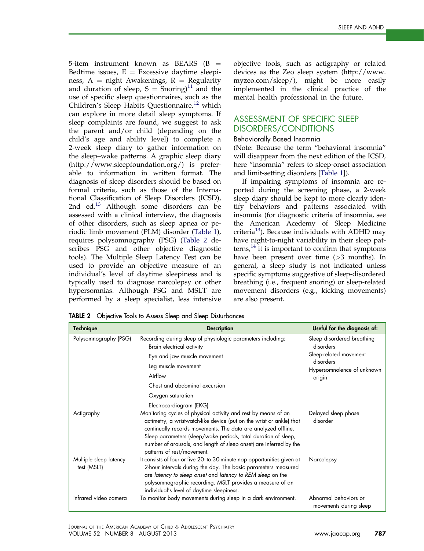5-item instrument known as BEARS (B  $=$ Bedtime issues,  $E = Excessive$  daytime sleepiness,  $A =$  night Awakenings,  $R =$  Regularity and duration of sleep,  $S =$  Snoring)<sup>[11](#page-11-0)</sup> and the use of specific sleep questionnaires, such as the Children's Sleep Habits Questionnaire,<sup>[12](#page-11-0)</sup> which can explore in more detail sleep symptoms. If sleep complaints are found, we suggest to ask the parent and/or child (depending on the child's age and ability level) to complete a 2-week sleep diary to gather information on the sleep–wake patterns. A graphic sleep diary [\(http://www.sleepfoundation.org/](http://www.sleepfoundation.org/)) is preferable to information in written format. The diagnosis of sleep disorders should be based on formal criteria, such as those of the International Classification of Sleep Disorders (ICSD), 2nd ed.<sup>[13](#page-11-0)</sup> Although some disorders can be assessed with a clinical interview, the diagnosis of other disorders, such as sleep apnea or periodic limb movement (PLM) disorder [\(Table 1\)](#page-2-0), requires polysomnography (PSG) (Table 2 describes PSG and other objective diagnostic tools). The Multiple Sleep Latency Test can be used to provide an objective measure of an individual's level of daytime sleepiness and is typically used to diagnose narcolepsy or other hypersomnias. Although PSG and MSLT are performed by a sleep specialist, less intensive

objective tools, such as actigraphy or related devices as the Zeo sleep system ([http://www.](http://www.myzeo.com/sleep/) [myzeo.com/sleep/](http://www.myzeo.com/sleep/)), might be more easily implemented in the clinical practice of the mental health professional in the future.

# ASSESSMENT OF SPECIFIC SLEEP DISORDERS/CONDITIONS

#### Behaviorally Based Insomnia

(Note: Because the term "behavioral insomnia" will disappear from the next edition of the ICSD, here "insomnia" refers to sleep-onset association and limit-setting disorders [\[Table 1\]](#page-2-0)).

If impairing symptoms of insomnia are reported during the screening phase, a 2-week sleep diary should be kept to more clearly identify behaviors and patterns associated with insomnia (for diagnostic criteria of insomnia, see the American Acedemy of Sleep Medicine criteria<sup>13</sup>). Because individuals with ADHD may have night-to-night variability in their sleep patterns, $14$  it is important to confirm that symptoms have been present over time (>3 months). In general, a sleep study is not indicated unless specific symptoms suggestive of sleep-disordered breathing (i.e., frequent snoring) or sleep-related movement disorders (e.g., kicking movements) are also present.

| <b>Technique</b>                      | <b>Description</b>                                                                                                                                                                                                                                                                                                                                                            | Useful for the diagnosis of:                    |
|---------------------------------------|-------------------------------------------------------------------------------------------------------------------------------------------------------------------------------------------------------------------------------------------------------------------------------------------------------------------------------------------------------------------------------|-------------------------------------------------|
| Polysomnography (PSG)                 | Recording during sleep of physiologic parameters including:<br>Brain electrical activity                                                                                                                                                                                                                                                                                      | Sleep disordered breathing<br>disorders         |
|                                       | Eye and jaw muscle movement                                                                                                                                                                                                                                                                                                                                                   | Sleep-related movement<br>disorders             |
|                                       | Leg muscle movement                                                                                                                                                                                                                                                                                                                                                           | Hypersomnolence of unknown                      |
|                                       | Airflow                                                                                                                                                                                                                                                                                                                                                                       | origin                                          |
|                                       | Chest and abdominal excursion                                                                                                                                                                                                                                                                                                                                                 |                                                 |
|                                       | Oxygen saturation                                                                                                                                                                                                                                                                                                                                                             |                                                 |
|                                       | Electrocardiogram (EKG)                                                                                                                                                                                                                                                                                                                                                       |                                                 |
| Actigraphy                            | Monitoring cycles of physical activity and rest by means of an<br>actimetry, a wristwatch-like device (put on the wrist or ankle) that<br>continually records movements. The data are analyzed offline.<br>Sleep parameters (sleep/wake periods, total duration of sleep,<br>number of arousals, and length of sleep onset) are inferred by the<br>patterns of rest/movement. | Delayed sleep phase<br>disorder                 |
| Multiple sleep latency<br>test (MSLT) | It consists of four or five 20- to 30-minute nap opportunities given at<br>2-hour intervals during the day. The basic parameters measured<br>are latency to sleep onset and latency to REM sleep on the<br>polysomnographic recording. MSLT provides a measure of an<br>individual's level of daytime sleepiness.                                                             | Narcolepsy                                      |
| Infrared video camera                 | To monitor body movements during sleep in a dark environment.                                                                                                                                                                                                                                                                                                                 | Abnormal behaviors or<br>movements during sleep |

TABLE 2 Objective Tools to Assess Sleep and Sleep Disturbances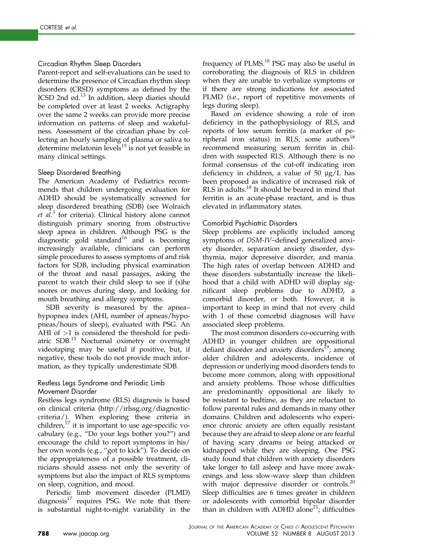## Circadian Rhythm Sleep Disorders

Parent-report and self-evaluations can be used to determine the presence of Circadian rhythm sleep disorders (CRSD) symptoms as defined by the ICSD 2nd ed.<sup>[13](#page-11-0)</sup> In addition, sleep diaries should be completed over at least 2 weeks. Actigraphy over the same 2 weeks can provide more precise information on patterns of sleep and wakefulness. Assessment of the circadian phase by collecting an hourly sampling of plasma or saliva to determine melatonin levels<sup>[15](#page-11-0)</sup> is not yet feasible in many clinical settings.

## Sleep Disordered Breathing

The American Academy of Pediatrics recommends that children undergoing evaluation for ADHD should be systematically screened for sleep disordered breathing (SDB) (see Wolraich et al.<sup>[3](#page-11-0)</sup> for criteria). Clinical history alone cannot distinguish primary snoring from obstructive sleep apnea in children. Although PSG is the diagnostic gold standard<sup>[16](#page-11-0)</sup> and is becoming increasingly available, clinicians can perform simple procedures to assess symptoms of and risk factors for SDB, including physical examination of the throat and nasal passages, asking the parent to watch their child sleep to see if (s)he snores or moves during sleep, and looking for mouth breathing and allergy symptoms.

SDB severity is measured by the apnea– hypopnea index (AHI, number of apneas/hypopneas/hours of sleep), evaluated with PSG. An AHI of >1 is considered the threshold for pediatric SDB.[13](#page-11-0) Nocturnal oximetry or overnight videotaping may be useful if positive, but, if negative, these tools do not provide much information, as they typically underestimate SDB.

# Restless Legs Syndrome and Periodic Limb Movement Disorder

Restless legs syndrome (RLS) diagnosis is based on clinical criteria ([http://irlssg.org/diagnostic](http://irlssg.org/diagnostic-criteria/)[criteria/\)](http://irlssg.org/diagnostic-criteria/). When exploring these criteria in children, $^{17}$  $^{17}$  $^{17}$  it is important to use age-specific vocabulary (e.g., "Do your legs bother you?") and encourage the child to report symptoms in his/ her own words (e.g., "got to kick"). To decide on the appropriateness of a possible treatment, clinicians should assess not only the severity of symptoms but also the impact of RLS symptoms on sleep, cognition, and mood.

Periodic limb movement disorder (PLMD) diagnosis $17$  requires PSG. We note that there is substantial night-to-night variability in the

frequency of PLMS.<sup>[18](#page-11-0)</sup> PSG may also be useful in corroborating the diagnosis of RLS in children when they are unable to verbalize symptoms or if there are strong indications for associated PLMD (i.e., report of repetitive movements of legs during sleep).

Based on evidence showing a role of iron deficiency in the pathophysiology of RLS, and reports of low serum ferritin (a marker of peripheral iron status) in RLS, some authors $^{18}$  $^{18}$  $^{18}$ recommend measuring serum ferritin in children with suspected RLS. Although there is no formal consensus of the cut-off indicating iron deficiency in children, a value of  $50 \mu g/L$  has been proposed as indicative of increased risk of RLS in adults. $^{18}$  $^{18}$  $^{18}$  It should be beared in mind that ferritin is an acute-phase reactant, and is thus elevated in inflammatory states.

# Comorbid Psychiatric Disorders

Sleep problems are explicitly included among symptoms of DSM-IV–defined generalized anxiety disorder, separation anxiety disorder, dysthymia, major depressive disorder, and mania. The high rates of overlap between ADHD and these disorders substantially increase the likelihood that a child with ADHD will display significant sleep problems due to ADHD, a comorbid disorder, or both. However, it is important to keep in mind that not every child with 1 of these comorbid diagnoses will have associated sleep problems.

The most common disorders co-occurring with ADHD in younger children are oppositional defiant disorder and anxiety disorders<sup>[19](#page-11-0)</sup>; among older children and adolescents, incidence of depression or underlying mood disorders tends to become more common, along with oppositional and anxiety problems. Those whose difficulties are predominantly oppositional are likely to be resistant to bedtime, as they are reluctant to follow parental rules and demands in many other domains. Children and adolescents who experience chronic anxiety are often equally resistant because they are afraid to sleep alone or are fearful of having scary dreams or being attacked or kidnapped while they are sleeping. One PSG study found that children with anxiety disorders take longer to fall asleep and have more awakenings and less slow-wave sleep than children with major depressive disorder or controls.<sup>[20](#page-11-0)</sup> Sleep difficulties are 6 times greater in children or adolescents with comorbid bipolar disorder than in children with ADHD alone<sup>21</sup>; difficulties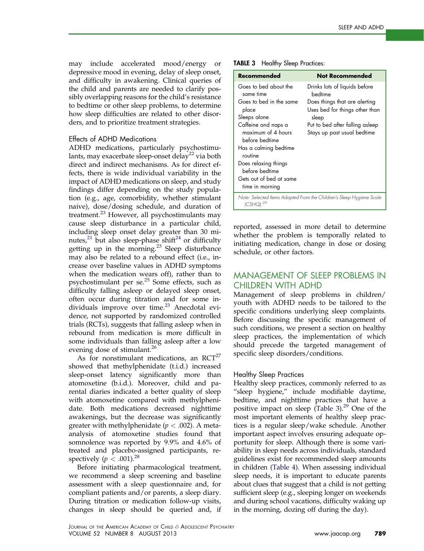may include accelerated mood/energy or depressive mood in evening, delay of sleep onset, and difficulty in awakening. Clinical queries of the child and parents are needed to clarify possibly overlapping reasons for the child's resistance to bedtime or other sleep problems, to determine how sleep difficulties are related to other disorders, and to prioritize treatment strategies.

## Effects of ADHD Medications

ADHD medications, particularly psychostimu-lants, may exacerbate sleep-onset delay<sup>[22](#page-11-0)</sup> via both direct and indirect mechanisms. As for direct effects, there is wide individual variability in the impact of ADHD medications on sleep, and study findings differ depending on the study population (e.g., age, comorbidity, whether stimulant naive), dose/dosing schedule, and duration of treatment.<sup>[23](#page-11-0)</sup> However, all psychostimulants may cause sleep disturbance in a particular child, including sleep onset delay greater than 30 minutes, $^{21}$  $^{21}$  $^{21}$  but also sleep-phase shift<sup>[24](#page-11-0)</sup> or difficulty getting up in the morning. $23$  Sleep disturbance may also be related to a rebound effect (i.e., increase over baseline values in ADHD symptoms when the medication wears off), rather than to psychostimulant per se.[25](#page-11-0) Some effects, such as difficulty falling asleep or delayed sleep onset, often occur during titration and for some in-dividuals improve over time.<sup>[23](#page-11-0)</sup> Anecdotal evidence, not supported by randomized controlled trials (RCTs), suggests that falling asleep when in rebound from medication is more difficult in some individuals than falling asleep after a low evening dose of stimulant.<sup>[26](#page-11-0)</sup>

As for nonstimulant medications, an  $RCT^{27}$  $RCT^{27}$  $RCT^{27}$ showed that methylphenidate (t.i.d.) increased sleep-onset latency significantly more than atomoxetine (b.i.d.). Moreover, child and parental diaries indicated a better quality of sleep with atomoxetine compared with methylphenidate. Both medications decreased nighttime awakenings, but the decrease was significantly greater with methylphenidate ( $p < .002$ ). A metaanalysis of atomoxetine studies found that somnolence was reported by 9.9% and 4.6% of treated and placebo-assigned participants, respectively ( $p < .001$ ).<sup>[28](#page-11-0)</sup>

Before initiating pharmacological treatment, we recommend a sleep screening and baseline assessment with a sleep questionnaire and, for compliant patients and/or parents, a sleep diary. During titration or medication follow-up visits, changes in sleep should be queried and, if

| <b>TABLE 3</b> | Healthy Sleep Practices: |  |
|----------------|--------------------------|--|
|----------------|--------------------------|--|

| Recommended                                                                                                             | <b>Not Recommended</b>                                                   |
|-------------------------------------------------------------------------------------------------------------------------|--------------------------------------------------------------------------|
| Goes to bed about the<br>same time                                                                                      | Drinks lots of liquids before<br>hedtime                                 |
| Goes to bed in the same<br>place<br>Sleeps alone                                                                        | Does things that are alerting<br>Uses bed for things other than<br>sleep |
| Caffeine and naps a<br>maximum of 4 hours<br>before bedtime<br>Has a calming bedtime<br>routine<br>Does relaxing things | Put to bed after falling asleep<br>Stays up past usual bedtime           |
| before bedtime<br>Gets out of bed at same<br>time in morning                                                            |                                                                          |
| ICSHQI. 29                                                                                                              | Note: Selected Items Adapted From the Children's Sleep Hygiene Scale     |

reported, assessed in more detail to determine whether the problem is temporally related to initiating medication, change in dose or dosing schedule, or other factors.

# MANAGEMENT OF SLEEP PROBLEMS IN CHILDREN WITH ADHD

Management of sleep problems in children/ youth with ADHD needs to be tailored to the specific conditions underlying sleep complaints. Before discussing the specific management of such conditions, we present a section on healthy sleep practices, the implementation of which should precede the targeted management of specific sleep disorders/conditions.

### Healthy Sleep Practices

Healthy sleep practices, commonly referred to as "sleep hygiene," include modifiable daytime, bedtime, and nighttime practices that have a positive impact on sleep (Table  $3$ ).<sup>[29](#page-11-0)</sup> One of the most important elements of healthy sleep practices is a regular sleep/wake schedule. Another important aspect involves ensuring adequate opportunity for sleep. Although there is some variability in sleep needs across individuals, standard guidelines exist for recommended sleep amounts in children ([Table 4\)](#page-6-0). When assessing individual sleep needs, it is important to educate parents about clues that suggest that a child is not getting sufficient sleep (e.g., sleeping longer on weekends and during school vacations, difficulty waking up in the morning, dozing off during the day).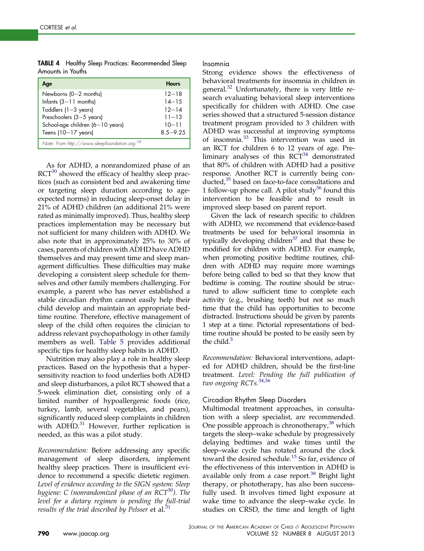| Age                                                      | <b>Hours</b> |
|----------------------------------------------------------|--------------|
| Newborns (0-2 months)                                    | $12 - 18$    |
| Infants $(3-11$ months)                                  | $14 - 15$    |
| Toddlers (1–3 years)                                     | $12 - 14$    |
| Preschoolers (3-5 years)                                 | $11 - 13$    |
| School-age children (6-10 years)                         | $10 - 11$    |
| Teens (10-17 years)                                      | $8.5 - 9.25$ |
| Note: From http://www.sleepfoundation.org. <sup>58</sup> |              |

<span id="page-6-0"></span>TABLE 4 Healthy Sleep Practices: Recommended Sleep Amounts in Youths

As for ADHD, a nonrandomized phase of an  $RCT<sup>30</sup>$  $RCT<sup>30</sup>$  $RCT<sup>30</sup>$  showed the efficacy of healthy sleep practices (such as consistent bed and awakening time or targeting sleep duration according to ageexpected norms) in reducing sleep-onset delay in 21% of ADHD children (an additional 21% were rated as minimally improved). Thus, healthy sleep practices implementation may be necessary but not sufficient for many children with ADHD. We also note that in approximately 25% to 30% of cases, parents of children with ADHD have ADHD themselves and may present time and sleep management difficulties. These difficulties may make developing a consistent sleep schedule for themselves and other family members challenging. For example, a parent who has never established a stable circadian rhythm cannot easily help their child develop and maintain an appropriate bedtime routine. Therefore, effective management of sleep of the child often requires the clinician to address relevant psychopathology in other family members as well. [Table 5](#page-7-0) provides additional specific tips for healthy sleep habits in ADHD.

Nutrition may also play a role in healthy sleep practices. Based on the hypothesis that a hypersensitivity reaction to food underlies both ADHD and sleep disturbances, a pilot RCT showed that a 5-week elimination diet, consisting only of a limited number of hypoallergenic foods (rice, turkey, lamb, several vegetables, and pears), significantly reduced sleep complaints in children with  $ADHD.<sup>31</sup>$  However, further replication is needed, as this was a pilot study.

Recommendation: Before addressing any specific management of sleep disorders, implement healthy sleep practices. There is insufficient evidence to recommend a specific dietetic regimen. Level of evidence according to the SIGN system: Sleep hygiene: C (nonrandomized phase of an  $RCT^{30}$  $RCT^{30}$  $RCT^{30}$ ). The level for a dietary regimen is pending the full-trial results of the trial described by Pelsser et al. $31$ 

Insomnia

Strong evidence shows the effectiveness of behavioral treatments for insomnia in children in general. $32$  Unfortunately, there is very little research evaluating behavioral sleep interventions specifically for children with ADHD. One case series showed that a structured 5-session distance treatment program provided to 3 children with ADHD was successful at improving symptoms of insomnia[.33](#page-12-0) This intervention was used in an RCT for children 6 to 12 years of age. Preliminary analyses of this  $RCT<sup>34</sup>$  $RCT<sup>34</sup>$  $RCT<sup>34</sup>$  demonstrated that 80% of children with ADHD had a positive response. Another RCT is currently being conducted, $35$  based on face-to-face consultations and 1 follow-up phone call. A pilot study<sup>[36](#page-12-0)</sup> found this intervention to be feasible and to result in improved sleep based on parent report.

Given the lack of research specific to children with ADHD, we recommend that evidence-based treatments be used for behavioral insomnia in typically developing children $37$  and that these be modified for children with ADHD. For example, when promoting positive bedtime routines, children with ADHD may require more warnings before being called to bed so that they know that bedtime is coming. The routine should be structured to allow sufficient time to complete each activity (e.g., brushing teeth) but not so much time that the child has opportunities to become distracted. Instructions should be given by parents 1 step at a time. Pictorial representations of bedtime routine should be posted to be easily seen by the child. $5$ 

Recommendation: Behavioral interventions, adapted for ADHD children, should be the first-line treatment. Level: Pending the full publication of two ongoing RCTs.<sup>[34,36](#page-12-0)</sup>

### Circadian Rhythm Sleep Disorders

Multimodal treatment approaches, in consultation with a sleep specialist, are recommended. One possible approach is chronotherapy,  $38$  which targets the sleep–wake schedule by progressively delaying bedtimes and wake times until the sleep–wake cycle has rotated around the clock toward the desired schedule.<sup>[15](#page-11-0)</sup> So far, evidence of the effectiveness of this intervention in ADHD is available only from a case report.<sup>[38](#page-12-0)</sup> Bright light therapy, or phototherapy, has also been successfully used. It involves timed light exposure at wake time to advance the sleep–wake cycle. In studies on CRSD, the time and length of light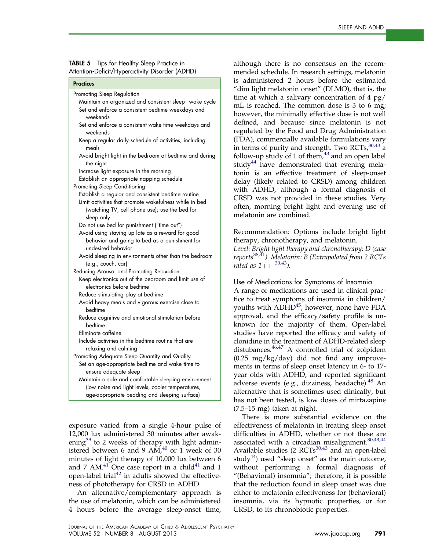<span id="page-7-0"></span>TABLE 5 Tips for Healthy Sleep Practice in Attention-Deficit/Hyperactivity Disorder (ADHD)

| <b>Practices</b>                                                                                                                                     |
|------------------------------------------------------------------------------------------------------------------------------------------------------|
| Promoting Sleep Regulation<br>Maintain an organized and consistent sleep-wake cycle<br>Set and enforce a consistent bedtime weekdays and<br>weekends |
| Set and enforce a consistent wake time weekdays and<br>weekends                                                                                      |
| Keep a regular daily schedule of activities, including<br>meals                                                                                      |
| Avoid bright light in the bedroom at bedtime and during<br>the night                                                                                 |
| Increase light exposure in the morning<br>Establish an appropriate napping schedule                                                                  |
| Promoting Sleep Conditioning                                                                                                                         |
| Establish a regular and consistent bedtime routine                                                                                                   |
| Limit activities that promote wakefulness while in bed                                                                                               |
| (watching TV, cell phone use); use the bed for                                                                                                       |
| sleep only<br>Do not use bed for punishment ("time out")                                                                                             |
| Avoid using staying up late as a reward for good                                                                                                     |
| behavior and going to bed as a punishment for<br>undesired behavior                                                                                  |
| Avoid sleeping in environments other than the bedroom<br>(e.g., couch, car)                                                                          |
| Reducing Arousal and Promoting Relaxation                                                                                                            |
| Keep electronics out of the bedroom and limit use of<br>electronics before bedtime                                                                   |
| Reduce stimulating play at bedtime                                                                                                                   |
| Avoid heavy meals and vigorous exercise close to<br>bedtime                                                                                          |
| Reduce cognitive and emotional stimulation before<br>bedtime                                                                                         |
| Eliminate caffeine                                                                                                                                   |
| Include activities in the bedtime routine that are                                                                                                   |
| relaxing and calming                                                                                                                                 |
| Promoting Adequate Sleep Quantity and Quality                                                                                                        |
| Set an age-appropriate bedtime and wake time to<br>ensure adequate sleep                                                                             |
| Maintain a safe and comfortable sleeping environment                                                                                                 |
| (low noise and light levels, cooler temperatures,                                                                                                    |
| age-appropriate bedding and sleeping surface)                                                                                                        |

exposure varied from a single 4-hour pulse of 12,000 lux administered 30 minutes after awak-ening<sup>[39](#page-12-0)</sup> to 2 weeks of therapy with light administered between 6 and 9  $\overrightarrow{AM}$ ,<sup>[40](#page-12-0)</sup> or 1 week of 30 minutes of light therapy of 10,000 lux between 6 and 7 AM. $41$ <sup>One</sup> case report in a child $41$  and 1 open-label trial $42$  in adults showed the effectiveness of phototherapy for CRSD in ADHD.

An alternative/complementary approach is the use of melatonin, which can be administered 4 hours before the average sleep-onset time,

although there is no consensus on the recommended schedule. In research settings, melatonin is administered 2 hours before the estimated "dim light melatonin onset" (DLMO), that is, the time at which a salivary concentration of 4 pg/ mL is reached. The common dose is 3 to 6 mg; however, the minimally effective dose is not well defined, and because since melatonin is not regulated by the Food and Drug Administration (FDA), commercially available formulations vary in terms of purity and strength. Two  $RCTs<sub>1</sub><sup>30,43</sup>$  $RCTs<sub>1</sub><sup>30,43</sup>$  $RCTs<sub>1</sub><sup>30,43</sup>$  a follow-up study of 1 of them, $43$  and an open label study<sup>[44](#page-12-0)</sup> have demonstrated that evening melatonin is an effective treatment of sleep-onset delay (likely related to CRSD) among children with ADHD, although a formal diagnosis of CRSD was not provided in these studies. Very often, morning bright light and evening use of melatonin are combined.

Recommendation: Options include bright light therapy, chronotherapy, and melatonin. Level: Bright light therapy and chronotherapy: D (case reports<sup>[38,41](#page-12-0)</sup>). Melatonin: B (Extrapolated from 2 RCTs rated as  $1++^{30,43}$  $1++^{30,43}$  $1++^{30,43}$ ).

Use of Medications for Symptoms of Insomnia

A range of medications are used in clinical practice to treat symptoms of insomnia in children/ youths with ADHD<sup>[45](#page-12-0)</sup>; however, none have FDA approval, and the efficacy/safety profile is unknown for the majority of them. Open-label studies have reported the efficacy and safety of clonidine in the treatment of ADHD-related sleep distubances.<sup>[46,47](#page-12-0)</sup> A controlled trial of zolpidem (0.25 mg/kg/day) did not find any improvements in terms of sleep onset latency in 6- to 17 year olds with ADHD, and reported significant adverse events (e.g., dizziness, headache).<sup>[48](#page-12-0)</sup> An alternative that is sometimes used clinically, but has not been tested, is low doses of mirtazapine (7.5–15 mg) taken at night.

There is more substantial evidence on the effectiveness of melatonin in treating sleep onset difficulties in ADHD, whether or not these are associated with a circadian misalignment.<sup>[30,43,44](#page-12-0)</sup> Available studies  $(2 \text{ RCTs}^{30,43})$  $(2 \text{ RCTs}^{30,43})$  $(2 \text{ RCTs}^{30,43})$  and an open-label study<sup>44</sup>) used "sleep onset" as the main outcome, without performing a formal diagnosis of "(Behavioral) insomnia"; therefore, it is possible that the reduction found in sleep onset was due either to melatonin effectiveness for (behavioral) insomnia, via its hypnotic properties, or for CRSD, to its chronobiotic properties.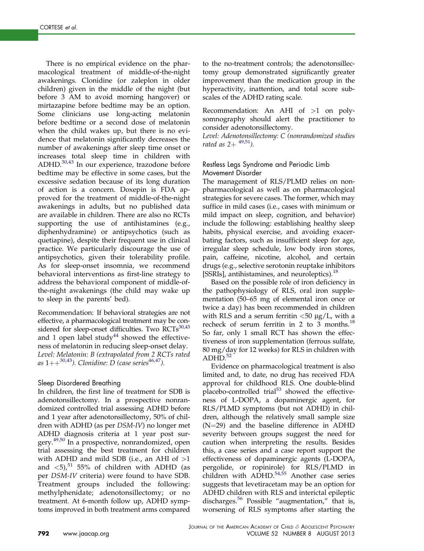There is no empirical evidence on the pharmacological treatment of middle-of-the-night awakenings. Clonidine (or zaleplon in older children) given in the middle of the night (but before 3 AM to avoid morning hangover) or mirtazapine before bedtime may be an option. Some clinicians use long-acting melatonin before bedtime or a second dose of melatonin when the child wakes up, but there is no evidence that melatonin significantly decreases the number of awakenings after sleep time onset or increases total sleep time in children with ADHD.<sup>[30,43](#page-12-0)</sup> In our experience, trazodone before bedtime may be effective in some cases, but the excessive sedation because of its long duration of action is a concern. Doxepin is FDA approved for the treatment of middle-of-the-night awakenings in adults, but no published data are available in children. There are also no RCTs supporting the use of antihistamines (e.g., diphenhydramine) or antipsychotics (such as quetiapine), despite their frequent use in clinical practice. We particularly discourage the use of antipsychotics, given their tolerability profile. As for sleep-onset insomnia, we recommend behavioral interventions as first-line strategy to address the behavioral component of middle-ofthe-night awakenings (the child may wake up to sleep in the parents' bed).

Recommendation: If behavioral strategies are not effective, a pharmacological treatment may be considered for sleep-onset difficulties. Two RCTs<sup>30,43</sup> and 1 open label study<sup>[44](#page-12-0)</sup> showed the effectiveness of melatonin in reducing sleep-onset delay. Level: Melatonin: B (extrapolated from 2 RCTs rated as  $1++^{30,43}$  $1++^{30,43}$  $1++^{30,43}$ ). Clonidine: D (case series<sup>[46,47](#page-12-0)</sup>).

### Sleep Disordered Breathing

In children, the first line of treatment for SDB is adenotonsillectomy. In a prospective nonrandomized controlled trial assessing ADHD before and 1 year after adenotonsillectomy, 50% of children with ADHD (as per DSM-IV) no longer met ADHD diagnosis criteria at 1 year post surgery.[49,50](#page-12-0) In a prospective, nonrandomized, open trial assessing the best treatment for children with ADHD and mild SDB (i.e., an AHI of  $>1$ and  $\langle 5$ ),<sup>[51](#page-12-0)</sup> 55% of children with ADHD (as per DSM-IV criteria) were found to have SDB. Treatment groups included the following: methylphenidate; adenotonsillectomy; or no treatment. At 6-month follow up, ADHD symptoms improved in both treatment arms compared

to the no-treatment controls; the adenotonsillectomy group demonstrated significantly greater improvement than the medication group in the hyperactivity, inattention, and total score subscales of the ADHD rating scale.

Recommendation: An AHI of  $>1$  on polysomnography should alert the practitioner to consider adenotonsillectomy.

Level: Adenotonsillectomy: C (nonrandomized studies rated as  $2+ \frac{49,51}{9}$  $2+ \frac{49,51}{9}$  $2+ \frac{49,51}{9}$ .

## Restless Legs Syndrome and Periodic Limb Movement Disorder

The management of RLS/PLMD relies on nonpharmacological as well as on pharmacological strategies for severe cases. The former, which may suffice in mild cases (i.e., cases with minimum or mild impact on sleep, cognition, and behavior) include the following: establishing healthy sleep habits, physical exercise, and avoiding exacerbating factors, such as insufficient sleep for age, irregular sleep schedule, low body iron stores, pain, caffeine, nicotine, alcohol, and certain drugs (e.g., selective serotonin reuptake inhibitors [SSRIs], antihistamines, and neuroleptics).<sup>[18](#page-11-0)</sup>

Based on the possible role of iron deficiency in the pathophysiology of RLS, oral iron supplementation (50–65 mg of elemental iron once or twice a day) has been recommended in children with RLS and a serum ferritin  $<$ 50  $\mu$ g/L, with a recheck of serum ferritin in 2 to 3 months. $^{18}$  $^{18}$  $^{18}$ So far, only 1 small RCT has shown the effectiveness of iron supplementation (ferrous sulfate, 80 mg/day for 12 weeks) for RLS in children with  $ADHD.<sup>52</sup>$  $ADHD.<sup>52</sup>$  $ADHD.<sup>52</sup>$ 

Evidence on pharmacological treatment is also limited and, to date, no drug has received FDA approval for childhood RLS. One double-blind placebo-controlled trial $53$  showed the effectiveness of L-DOPA, a dopaminergic agent, for RLS/PLMD symptoms (but not ADHD) in children, although the relatively small sample size  $(N=29)$  and the baseline difference in ADHD severity between groups suggest the need for caution when interpreting the results. Besides this, a case series and a case report support the effectiveness of dopaminergic agents (L-DOPA, pergolide, or ropinirole) for RLS/PLMD in children with ADHD.<sup>[54,55](#page-12-0)</sup> Another case series suggests that levetiracetam may be an option for ADHD children with RLS and interictal epileptic discharges.<sup>[56](#page-12-0)</sup> Possible "augmentation," that is, worsening of RLS symptoms after starting the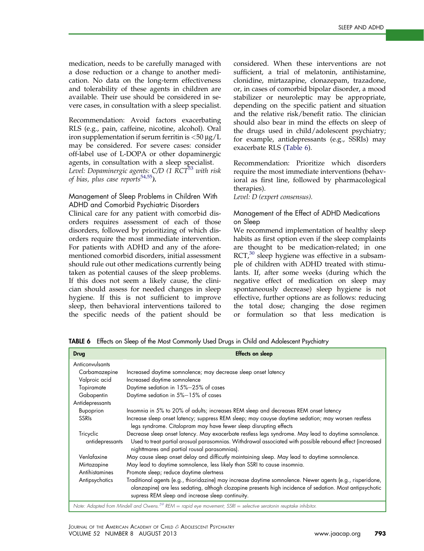medication, needs to be carefully managed with a dose reduction or a change to another medication. No data on the long-term effectiveness and tolerability of these agents in children are available. Their use should be considered in severe cases, in consultation with a sleep specialist.

Recommendation: Avoid factors exacerbating RLS (e.g., pain, caffeine, nicotine, alcohol). Oral iron supplementation if serum ferritin is  $<$  50  $\mu$ g/L may be considered. For severe cases: consider off-label use of L-DOPA or other dopaminergic agents, in consultation with a sleep specialist. Level: Dopaminergic agents:  $C/D$  (1  $RCT^{53}$  $RCT^{53}$  $RCT^{53}$  with risk of bias, plus case reports $54,55$ ).

### Management of Sleep Problems in Children With ADHD and Comorbid Psychiatric Disorders

Clinical care for any patient with comorbid disorders requires assessment of each of those disorders, followed by prioritizing of which disorders require the most immediate intervention. For patients with ADHD and any of the aforementioned comorbid disorders, initial assessment should rule out other medications currently being taken as potential causes of the sleep problems. If this does not seem a likely cause, the clinician should assess for needed changes in sleep hygiene. If this is not sufficient to improve sleep, then behavioral interventions tailored to the specific needs of the patient should be

considered. When these interventions are not sufficient, a trial of melatonin, antihistamine, clonidine, mirtazapine, clonazepam, trazadone, or, in cases of comorbid bipolar disorder, a mood stabilizer or neuroleptic may be appropriate, depending on the specific patient and situation and the relative risk/benefit ratio. The clinician should also bear in mind the effects on sleep of the drugs used in child/adolescent psychiatry; for example, antidepressants (e.g., SSRIs) may exacerbate RLS (Table 6).

Recommendation: Prioritize which disorders require the most immediate interventions (behavioral as first line, followed by pharmacological therapies).

Level: D (expert consensus).

# Management of the Effect of ADHD Medications on Sleep

We recommend implementation of healthy sleep habits as first option even if the sleep complaints are thought to be medication-related; in one  $RCT<sub>1</sub><sup>30</sup>$  $RCT<sub>1</sub><sup>30</sup>$  $RCT<sub>1</sub><sup>30</sup>$  sleep hygiene was effective in a subsample of children with ADHD treated with stimulants. If, after some weeks (during which the negative effect of medication on sleep may spontaneously decrease) sleep hygiene is not effective, further options are as follows: reducing the total dose; changing the dose regimen or formulation so that less medication is

| Drug                         | Effects on sleep                                                                                                                                                                                                                                                          |
|------------------------------|---------------------------------------------------------------------------------------------------------------------------------------------------------------------------------------------------------------------------------------------------------------------------|
| Anticonvulsants              |                                                                                                                                                                                                                                                                           |
| Carbamazepine                | Increased daytime somnolence; may decrease sleep onset latency                                                                                                                                                                                                            |
| Valproic acid                | Increased daytime somnolence                                                                                                                                                                                                                                              |
| Topiramate                   | Daytime sedation in 15%-25% of cases                                                                                                                                                                                                                                      |
| Gabapentin                   | Daytime sedation in 5%-15% of cases                                                                                                                                                                                                                                       |
| Antidepressants              |                                                                                                                                                                                                                                                                           |
| Bupoprion                    | Insomnia in 5% to 20% of adults; increases REM sleep and decreases REM onset latency                                                                                                                                                                                      |
| <b>SSRIs</b>                 | Increase sleep onset latency; suppress REM sleep; may cauyse daytime sedation; may worsen restless<br>legs syndrome. Citalopram may have fewer sleep disrupting effects                                                                                                   |
| Tricyclic<br>antidepressants | Decrease sleep onset latency. May exacerbate restless legs syndrome. May lead to daytime somnolence.<br>Used to treat partial arosual parasomnias. Withdrawal associated with possible rebound effect (increased<br>nighttmares and partial rousal parasomnias).          |
| Venlafaxine                  | May cause sleep onset delay and difficutly maintaining sleep. May lead to daytime somnolence.                                                                                                                                                                             |
| Mirtazapine                  | May lead to daytime somnolence, less likely than SSRI to cause insomnia.                                                                                                                                                                                                  |
| Antihistamines               | Promote sleep; reduce daytime alertness                                                                                                                                                                                                                                   |
| Antipsychotics               | Traditional agents (e.g., thioridazine) may increase daytime somnolence. Newer agents (e.g., risperidone,<br>olanzapine) are less sedating, althogh clozapine presents high incidence of sedation. Most antipsychotic<br>supress REM sleep and increase sleep continuity. |
|                              | Note: Adapted from Mindell and Owens. <sup>59</sup> REM = rapid eye movement; SSRI = selective serotonin reuptake inhibitor.                                                                                                                                              |

TABLE 6 Effects on Sleep of the Most Commonly Used Drugs in Child and Adolescent Psychiatry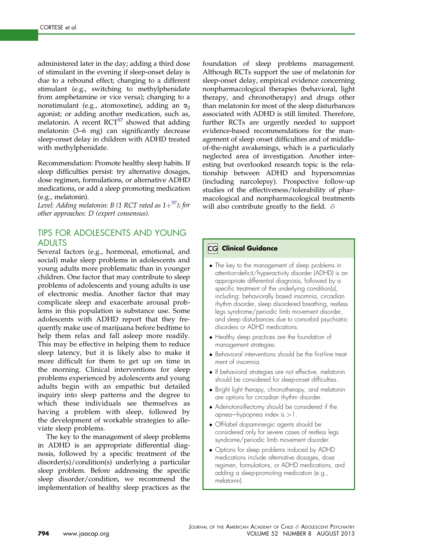administered later in the day; adding a third dose of stimulant in the evening if sleep-onset delay is due to a rebound effect; changing to a different stimulant (e.g., switching to methylphenidate from amphetamine or vice versa); changing to a nonstimulant (e.g., atomoxetine), adding an  $\alpha_2$ agonist; or adding another medication, such as, melatonin. A recent  $RCT^{57}$  $RCT^{57}$  $RCT^{57}$  showed that adding melatonin (3–6 mg) can significantly decrease sleep-onset delay in children with ADHD treated with methylphenidate.

Recommendation: Promote healthy sleep habits. If sleep difficulties persist: try alternative dosages, dose regimen, formulations, or alternative ADHD medications, or add a sleep promoting medication (e.g., melatonin).

Level: Adding melatonin: B (1 RCT rated as  $1+^{57}$  $1+^{57}$  $1+^{57}$ ); for other approaches: D (expert consensus).

# TIPS FOR ADOLESCENTS AND YOUNG ADULTS

Several factors (e.g., hormonal, emotional, and social) make sleep problems in adolescents and young adults more problematic than in younger children. One factor that may contribute to sleep problems of adolescents and young adults is use of electronic media. Another factor that may complicate sleep and exacerbate arousal problems in this population is substance use. Some adolescents with ADHD report that they frequently make use of marijuana before bedtime to help them relax and fall asleep more readily. This may be effective in helping them to reduce sleep latency, but it is likely also to make it more difficult for them to get up on time in the morning. Clinical interventions for sleep problems experienced by adolescents and young adults begin with an empathic but detailed inquiry into sleep patterns and the degree to which these individuals see themselves as having a problem with sleep, followed by the development of workable strategies to alleviate sleep problems.

The key to the management of sleep problems in ADHD is an appropriate differential diagnosis, followed by a specific treatment of the disorder(s)/condition(s) underlying a particular sleep problem. Before addressing the specific sleep disorder/condition, we recommend the implementation of healthy sleep practices as the

foundation of sleep problems management. Although RCTs support the use of melatonin for sleep-onset delay, empirical evidence concerning nonpharmacological therapies (behavioral, light therapy, and chronotherapy) and drugs other than melatonin for most of the sleep disturbances associated with ADHD is still limited. Therefore, further RCTs are urgently needed to support evidence-based recommendations for the management of sleep onset difficulties and of middleof-the-night awakenings, which is a particularly neglected area of investigation. Another interesting but overlooked research topic is the relationship between ADHD and hypersomnias (including narcolepsy). Prospective follow-up studies of the effectiveness/tolerability of pharmacological and nonpharmacological treatments will also contribute greatly to the field.  $\epsilon$ 

## CG Clinical Guidance

- The key to the management of sleep problems in attention-deficit/hyperactivity disorder (ADHD) is an appropriate differential diagnosis, followed by a specific treatment of the underlying condition(s), including: behaviorally based insomnia, circadian rhythm disorder, sleep disordered breathing, restless legs syndrome/periodic limb movement disorder, and sleep disturbances due to comorbid psychiatric disorders or ADHD medications.
- $\bullet$  Healthy sleep practices are the foundation of management strategies.
- Behavioral interventions should be the first-line treatment of insomnia.
- If behavioral strategies are not effective, melatonin should be considered for sleep-onset difficulties.
- Bright light therapy, chronotherapy, and melatonin are options for circadian rhythm disorder.
- Adenotonsillectomy should be considered if the apnea-hypopnea index is  $>1$ .
- Off-label dopaminergic agents should be considered only for severe cases of restless legs syndrome/periodic limb movement disorder.
- Options for sleep problems induced by ADHD medications include alternative dosages, dose regimen, formulations, or ADHD medications, and adding a sleep-promoting medication (e.g., melatonin).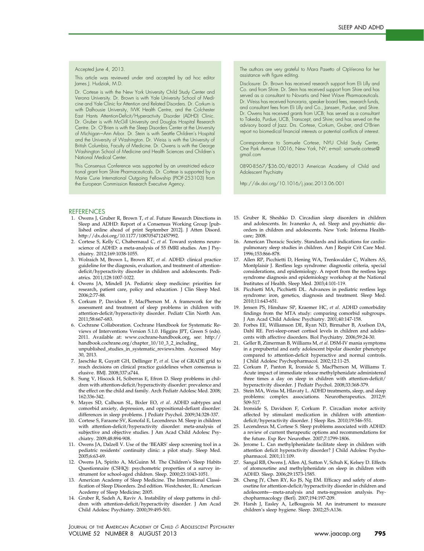<span id="page-11-0"></span>Accepted June 4, 2013.

This article was reviewed under and accepted by ad hoc editor James J. Hudziak, M.D.

Dr. Cortese is with the New York University Child Study Center and Verona University. Dr. Brown is with Yale University School of Medicine and Yale Clinic for Attention and Related Disorders. Dr. Corkum is with Dalhousie University, IWK Health Centre, and the Colchester East Hants Attention-Deficit/Hyperactivity Disorder (ADHD) Clinic. Dr. Gruber is with McGill University and Douglas Hospital Research Centre. Dr. O'Brien is with the Sleep Disorders Center at the University of Michigan-Ann Arbor. Dr. Stein is with Seattle Children's Hospital and the University of Washington. Dr. Weiss is with the University of British Columbia, Faculty of Medicine. Dr. Owens is with the George Washington School of Medicine and Health Sciences and Children's National Medical Center.

This Consensus Conference was supported by an unrestricted educational grant from Shire Pharmaceuticals. Dr. Cortese is supported by a Marie Curie International Outgoing Fellowship (PIOF-253103) from the European Commission Research Executive Agency.

### REFERENCES

- 1. Owens J, Gruber R, Brown T, et al. Future Research Directions in Sleep and ADHD: Report of a Consensus Working Group [published online ahead of print September 2012]. J Atten Disord. <http://dx.doi.org/10.1177/1087054712457992>.
- 2. Cortese S, Kelly C, Chabernaud C, et al. Toward systems neuroscience of ADHD: a meta-analysis of 55 fMRI studies. Am J Psychiatry. 2012;169:1038-1055.
- 3. Wolraich M, Brown L, Brown RT, et al. ADHD: clinical practice guideline for the diagnosis, evaluation, and treatment of attentiondeficit/hyperactivity disorder in children and adolescents. Pediatrics. 2011;128:1007-1022.
- 4. Owens JA, Mindell JA. Pediatric sleep medicine: priorities for research, patient care, policy and education. J Clin Sleep Med. 2006;2:77-88.
- 5. Corkum P, Davidson F, MacPherson M. A framework for the assessment and treatment of sleep problems in children with attention-deficit/hyperactivity disorder. Pediatr Clin North Am. 2011;58:667-683.
- 6. Cochrane Collaboration. Cochrane Handbook for Systematic Reviews of Interventions Version 5.1.0. Higgins JPT, Green S (eds). 2011. Available at: [www.cochrane-handbook.org,](http://www.cochrane-handbook.org) see: [http://](http://handbook.cochrane.org/chapter_10/10_3_2_including_unpublished_studies_in_systematic_reviews.htm) [handbook.cochrane.org/chapter\\_10/10\\_3\\_2\\_including\\_](http://handbook.cochrane.org/chapter_10/10_3_2_including_unpublished_studies_in_systematic_reviews.htm) [unpublished\\_studies\\_in\\_systematic\\_reviews.htm](http://handbook.cochrane.org/chapter_10/10_3_2_including_unpublished_studies_in_systematic_reviews.htm). Accessed May 30, 2013.
- 7. Jaeschke R, Guyatt GH, Dellinger P, et al. Use of GRADE grid to reach decisions on clinical practice guidelines when consensus is elusive. BMJ. 2008;337:a744.
- Sung V, Hiscock H, Sciberras E, Efron D. Sleep problems in children with attention-deficit/hyperactivity disorder: prevalence and the effect on the child and family. Arch Pediatr Adolesc Med. 2008; 162:336-342.
- 9. Mayes SD, Calhoun SL, Bixler EO, et al. ADHD subtypes and comorbid anxiety, depression, and oppositional-defiant disorder: differences in sleep problems. J Pediatr Psychol. 2009;34:328-337.
- 10. Cortese S, Faraone SV, Konofal E, Lecendreux M. Sleep in children with attention-deficit/hyperactivity disorder: meta-analysis of subjective and objective studies. J Am Acad Child Adolesc Psychiatry. 2009;48:894-908.
- 11. Owens JA, Dalzell V. Use of the 'BEARS' sleep screening tool in a pediatric residents' continuity clinic: a pilot study. Sleep Med. 2005;6:63-69.
- 12. Owens JA, Spirito A, McGuinn M. The Children's Sleep Habits Questionnaire (CSHQ): psychometric properties of a survey instrument for school-aged children. Sleep. 2000;23:1043-1051.
- 13. American Academy of Sleep Medicine. The International Classification of Sleep Disorders. 2nd edition. Westchester, IL: American Acedemy of Sleep Medicine; 2005.
- 14. Gruber R, Sadeh A, Raviv A. Instability of sleep patterns in children with attention-deficit/hyperactivity disorder. J Am Acad Child Adolesc Psychiatry. 2000;39:495-501.

The authors are very grateful to Mara Pasetto of CtpVerona for her assistance with figure editing.

Disclosure: Dr. Brown has received research support from Eli Lilly and Co. and from Shire. Dr. Stein has received support from Shire and has served as a consultant to Novartis and Next Wave Pharmaceuticals. Dr. Weiss has received honoraria, speaker board fees, research funds, and consultant fees from Eli Lilly and Co., Janssen, Purdue, and Shire. Dr. Owens has received grants from UCB; has served as a consultant to Takeda, Purdue, UCB, Transcept, and Shire; and has served on the advisory board of Jazz. Drs. Cortese, Corkum, Gruber, and O'Brien report no biomedical financial interests or potential conflicts of interest.

Correspondence to Samuele Cortese, NYU Child Study Center, One Park Avenue 10016, New York, NY; e-mail: [samuele.cortese@](mailto:samuele.cortese@gmail.com) [gmail.com](mailto:samuele.cortese@gmail.com)

0890-8567/\$36.00/@2013 American Academy of Child and Adolescent Psychiatry

<http://dx.doi.org/10.1016/j.jaac.2013.06.001>

- 15. Gruber R, Sheshko D. Circadian sleep disorders in children and adolescents. In: Ivanenko A, ed. Sleep and psychiatric disorders in children and adolescents. New York: Informa Healthcare; 2008.
- 16. American Thoracic Society. Standards and indications for cardiopulmonary sleep studies in children. Am J Respir Crit Care Med. <sub>.</sub><br>1996;153:866-878.
- 17. Allen RP, Picchietti D, Hening WA, Trenkwalder C, Walters AS, Montplaisir J. Restless legs syndrome: diagnostic criteria, special considerations, and epidemiology. A report from the restless legs syndrome diagnosis and epidemiology workshop at the National Institutes of Health. Sleep Med. 2003;4:101-119.
- 18. Picchietti MA, Picchietti DL. Advances in pediatric restless legs syndrome: iron, genetics, diagnosis and treatment. Sleep Med. 2010;11:643-651.
- 19. Jensen PS, Hinshaw SP, Kraemer HC, et al. ADHD comorbidity findings from the MTA study: comparing comorbid subgroups. J Am Acad Child Adolesc Psychiatry. 2001;40:147-158.
- 20. Forbes EE, Williamson DE, Ryan ND, Birmaher B, Axelson DA, Dahl RE. Peri-sleep-onset cortisol levels in children and adolescents with affective disorders. Biol Psychiatry. 2006;59:24-30.
- 21. Geller B, Zimerman B, Williams M, et al. DSM-IV mania symptoms in a prepubertal and early adolescent bipolar disorder phenotype compared to attention-deficit hyperactive and normal controls. J Child Adolesc Psychopharmacol. 2002;12:11-25.
- 22. Corkum P, Panton R, Ironside S, MacPherson M, Williams T. Acute impact of immediate release methylphenidate administered three times a day on sleep in children with attention-deficit/ hyperactivity disorder. J Pediatr Psychol. 2008;33:368-379.
- 23. Stein MA, Weiss M, Hlavaty L. ADHD treatments, sleep, and sleep problems: complex associations. Neurotherapeutics. 2012;9: 509-517.
- 24. Ironside S, Davidson F, Corkum P. Circadian motor activity affected by stimulant medication in children with attentiondeficit/hyperactivity disorder. J Sleep Res. 2010;19:546-551.
- 25. Lecendreux M, Cortese S. Sleep problems associated with ADHD: a review of current therapeutic options and recommendations for the future. Exp Rev Neurother. 2007;7:1799-1806.
- Jerome L. Can methylphenidate facilitate sleep in children with attention deficit hyperactivity disorder? J Child Adolesc Psychopharmacol. 2001;11:109.
- 27. Sangal RB, Owens J, Allen AJ, Sutton V, Schuh K, Kelsey D. Effects of atomoxetine and methylphenidate on sleep in children with ADHD. Sleep. 2006;29:1573-1585.
- 28. Cheng JY, Chen RY, Ko JS, Ng EM. Efficacy and safety of atomoxetine for attention-deficit/hyperactivity disorder in children and adolescents—meta-analysis and meta-regression analysis. Psychopharmacology (Berl). 2007;194:197-209.
- 29. Harsh J, Easley A, LeBougeois M. An instrument to measure children's sleep hygiene. Sleep. 2002;25:A136.

JOURNAL OF THE AMERICAN ACADEMY OF CHILD & ADOLESCENT PSYCHIATRY VOLUME 52 NUMBER 8 AUGUST 2013 [www.jaacap.org](http://www.jaacap.org) 795